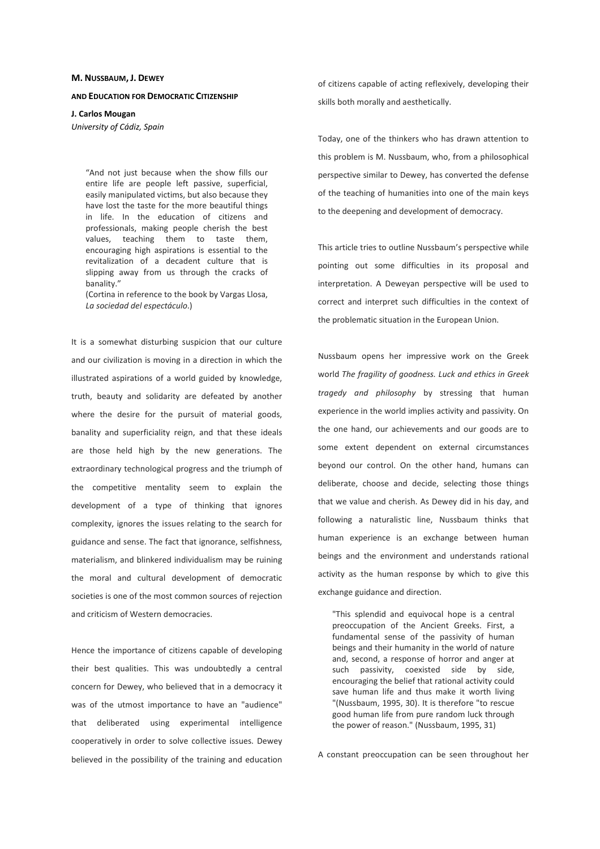## **M. NUSSBAUM, J. DEWEY**

## **AND EDUCATION FOR DEMOCRATIC CITIZENSHIP**

**J. Carlos Mougan** 

*University of Cádiz, Spain* 

"And not just because when the show fills our entire life are people left passive, superficial, easily manipulated victims, but also because they have lost the taste for the more beautiful things in life. In the education of citizens and professionals, making people cherish the best values, teaching them to taste them, encouraging high aspirations is essential to the revitalization of a decadent culture that is slipping away from us through the cracks of banality."

(Cortina in reference to the book by Vargas Llosa, *La sociedad del espectáculo*.)

It is a somewhat disturbing suspicion that our culture and our civilization is moving in a direction in which the illustrated aspirations of a world guided by knowledge, truth, beauty and solidarity are defeated by another where the desire for the pursuit of material goods, banality and superficiality reign, and that these ideals are those held high by the new generations. The extraordinary technological progress and the triumph of the competitive mentality seem to explain the development of a type of thinking that ignores complexity, ignores the issues relating to the search for guidance and sense. The fact that ignorance, selfishness, materialism, and blinkered individualism may be ruining the moral and cultural development of democratic societies is one of the most common sources of rejection and criticism of Western democracies.

Hence the importance of citizens capable of developing their best qualities. This was undoubtedly a central concern for Dewey, who believed that in a democracy it was of the utmost importance to have an "audience" that deliberated using experimental intelligence cooperatively in order to solve collective issues. Dewey believed in the possibility of the training and education of citizens capable of acting reflexively, developing their skills both morally and aesthetically.

Today, one of the thinkers who has drawn attention to this problem is M. Nussbaum, who, from a philosophical perspective similar to Dewey, has converted the defense of the teaching of humanities into one of the main keys to the deepening and development of democracy.

This article tries to outline Nussbaum's perspective while pointing out some difficulties in its proposal and interpretation. A Deweyan perspective will be used to correct and interpret such difficulties in the context of the problematic situation in the European Union.

Nussbaum opens her impressive work on the Greek world *The fragility of goodness. Luck and ethics in Greek tragedy and philosophy* by stressing that human experience in the world implies activity and passivity. On the one hand, our achievements and our goods are to some extent dependent on external circumstances beyond our control. On the other hand, humans can deliberate, choose and decide, selecting those things that we value and cherish. As Dewey did in his day, and following a naturalistic line, Nussbaum thinks that human experience is an exchange between human beings and the environment and understands rational activity as the human response by which to give this exchange guidance and direction.

"This splendid and equivocal hope is a central preoccupation of the Ancient Greeks. First, a fundamental sense of the passivity of human beings and their humanity in the world of nature and, second, a response of horror and anger at such passivity, coexisted side by side, encouraging the belief that rational activity could save human life and thus make it worth living "(Nussbaum, 1995, 30). It is therefore "to rescue good human life from pure random luck through the power of reason." (Nussbaum, 1995, 31)

A constant preoccupation can be seen throughout her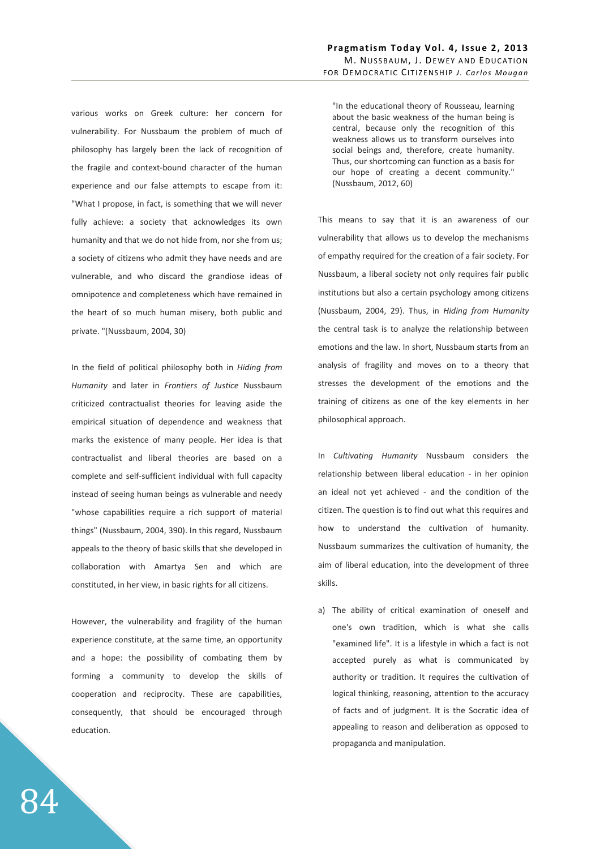various works on Greek culture: her concern for vulnerability. For Nussbaum the problem of much of philosophy has largely been the lack of recognition of the fragile and context-bound character of the human experience and our false attempts to escape from it: "What I propose, in fact, is something that we will never fully achieve: a society that acknowledges its own humanity and that we do not hide from, nor she from us; a society of citizens who admit they have needs and are vulnerable, and who discard the grandiose ideas of omnipotence and completeness which have remained in the heart of so much human misery, both public and private. "(Nussbaum, 2004, 30)

In the field of political philosophy both in *Hiding from Humanity* and later in *Frontiers of Justice* Nussbaum criticized contractualist theories for leaving aside the empirical situation of dependence and weakness that marks the existence of many people. Her idea is that contractualist and liberal theories are based on a complete and self-sufficient individual with full capacity instead of seeing human beings as vulnerable and needy "whose capabilities require a rich support of material things" (Nussbaum, 2004, 390). In this regard, Nussbaum appeals to the theory of basic skills that she developed in collaboration with Amartya Sen and which are constituted, in her view, in basic rights for all citizens.

However, the vulnerability and fragility of the human experience constitute, at the same time, an opportunity and a hope: the possibility of combating them by forming a community to develop the skills of cooperation and reciprocity. These are capabilities, consequently, that should be encouraged through education.

"In the educational theory of Rousseau, learning about the basic weakness of the human being is central, because only the recognition of this weakness allows us to transform ourselves into social beings and, therefore, create humanity. Thus, our shortcoming can function as a basis for our hope of creating a decent community." (Nussbaum, 2012, 60)

This means to say that it is an awareness of our vulnerability that allows us to develop the mechanisms of empathy required for the creation of a fair society. For Nussbaum, a liberal society not only requires fair public institutions but also a certain psychology among citizens (Nussbaum, 2004, 29). Thus, in *Hiding from Humanity* the central task is to analyze the relationship between emotions and the law. In short, Nussbaum starts from an analysis of fragility and moves on to a theory that stresses the development of the emotions and the training of citizens as one of the key elements in her philosophical approach.

In *Cultivating Humanity* Nussbaum considers the relationship between liberal education - in her opinion an ideal not yet achieved - and the condition of the citizen. The question is to find out what this requires and how to understand the cultivation of humanity. Nussbaum summarizes the cultivation of humanity, the aim of liberal education, into the development of three skills.

a) The ability of critical examination of oneself and one's own tradition, which is what she calls "examined life". It is a lifestyle in which a fact is not accepted purely as what is communicated by authority or tradition. It requires the cultivation of logical thinking, reasoning, attention to the accuracy of facts and of judgment. It is the Socratic idea of appealing to reason and deliberation as opposed to propaganda and manipulation.

84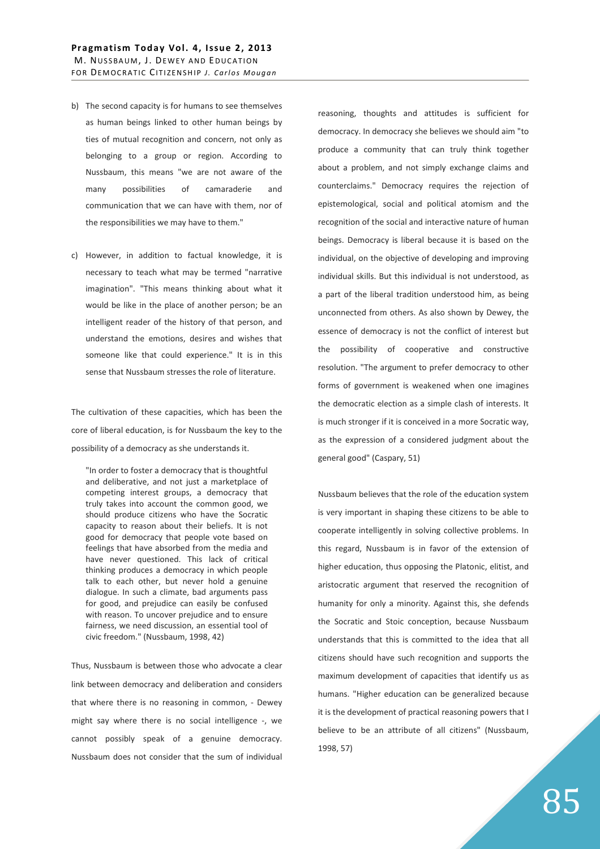- b) The second capacity is for humans to see themselves as human beings linked to other human beings by ties of mutual recognition and concern, not only as belonging to a group or region. According to Nussbaum, this means "we are not aware of the many possibilities of camaraderie and communication that we can have with them, nor of the responsibilities we may have to them."
- c) However, in addition to factual knowledge, it is necessary to teach what may be termed "narrative imagination". "This means thinking about what it would be like in the place of another person; be an intelligent reader of the history of that person, and understand the emotions, desires and wishes that someone like that could experience." It is in this sense that Nussbaum stresses the role of literature.

The cultivation of these capacities, which has been the core of liberal education, is for Nussbaum the key to the possibility of a democracy as she understands it.

"In order to foster a democracy that is thoughtful and deliberative, and not just a marketplace of competing interest groups, a democracy that truly takes into account the common good, we should produce citizens who have the Socratic capacity to reason about their beliefs. It is not good for democracy that people vote based on feelings that have absorbed from the media and have never questioned. This lack of critical thinking produces a democracy in which people talk to each other, but never hold a genuine dialogue. In such a climate, bad arguments pass for good, and prejudice can easily be confused with reason. To uncover prejudice and to ensure fairness, we need discussion, an essential tool of civic freedom." (Nussbaum, 1998, 42)

Thus, Nussbaum is between those who advocate a clear link between democracy and deliberation and considers that where there is no reasoning in common, - Dewey might say where there is no social intelligence -, we cannot possibly speak of a genuine democracy. Nussbaum does not consider that the sum of individual reasoning, thoughts and attitudes is sufficient for democracy. In democracy she believes we should aim "to produce a community that can truly think together about a problem, and not simply exchange claims and counterclaims." Democracy requires the rejection of epistemological, social and political atomism and the recognition of the social and interactive nature of human beings. Democracy is liberal because it is based on the individual, on the objective of developing and improving individual skills. But this individual is not understood, as a part of the liberal tradition understood him, as being unconnected from others. As also shown by Dewey, the essence of democracy is not the conflict of interest but the possibility of cooperative and constructive resolution. "The argument to prefer democracy to other forms of government is weakened when one imagines the democratic election as a simple clash of interests. It is much stronger if it is conceived in a more Socratic way, as the expression of a considered judgment about the general good" (Caspary, 51)

Nussbaum believes that the role of the education system is very important in shaping these citizens to be able to cooperate intelligently in solving collective problems. In this regard, Nussbaum is in favor of the extension of higher education, thus opposing the Platonic, elitist, and aristocratic argument that reserved the recognition of humanity for only a minority. Against this, she defends the Socratic and Stoic conception, because Nussbaum understands that this is committed to the idea that all citizens should have such recognition and supports the maximum development of capacities that identify us as humans. "Higher education can be generalized because it is the development of practical reasoning powers that I believe to be an attribute of all citizens" (Nussbaum, 1998, 57)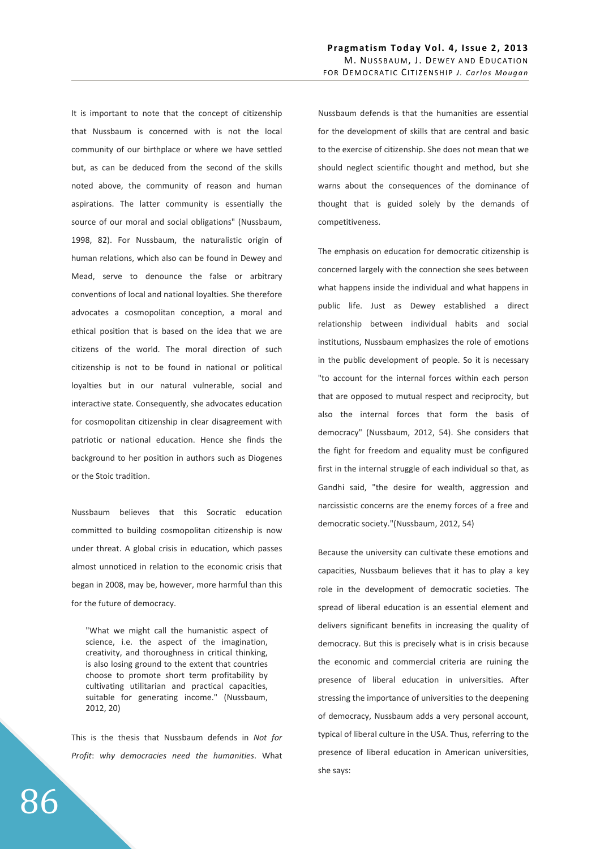It is important to note that the concept of citizenship that Nussbaum is concerned with is not the local community of our birthplace or where we have settled but, as can be deduced from the second of the skills noted above, the community of reason and human aspirations. The latter community is essentially the source of our moral and social obligations" (Nussbaum, 1998, 82). For Nussbaum, the naturalistic origin of human relations, which also can be found in Dewey and Mead, serve to denounce the false or arbitrary conventions of local and national loyalties. She therefore advocates a cosmopolitan conception, a moral and ethical position that is based on the idea that we are citizens of the world. The moral direction of such citizenship is not to be found in national or political loyalties but in our natural vulnerable, social and interactive state. Consequently, she advocates education for cosmopolitan citizenship in clear disagreement with patriotic or national education. Hence she finds the background to her position in authors such as Diogenes or the Stoic tradition.

Nussbaum believes that this Socratic education committed to building cosmopolitan citizenship is now under threat. A global crisis in education, which passes almost unnoticed in relation to the economic crisis that began in 2008, may be, however, more harmful than this for the future of democracy.

"What we might call the humanistic aspect of science, i.e. the aspect of the imagination, creativity, and thoroughness in critical thinking, is also losing ground to the extent that countries choose to promote short term profitability by cultivating utilitarian and practical capacities, suitable for generating income." (Nussbaum, 2012, 20)

This is the thesis that Nussbaum defends in *Not for Profit*: *why democracies need the humanities*. What Nussbaum defends is that the humanities are essential for the development of skills that are central and basic to the exercise of citizenship. She does not mean that we should neglect scientific thought and method, but she warns about the consequences of the dominance of thought that is guided solely by the demands of competitiveness.

The emphasis on education for democratic citizenship is concerned largely with the connection she sees between what happens inside the individual and what happens in public life. Just as Dewey established a direct relationship between individual habits and social institutions, Nussbaum emphasizes the role of emotions in the public development of people. So it is necessary "to account for the internal forces within each person that are opposed to mutual respect and reciprocity, but also the internal forces that form the basis of democracy" (Nussbaum, 2012, 54). She considers that the fight for freedom and equality must be configured first in the internal struggle of each individual so that, as Gandhi said, "the desire for wealth, aggression and narcissistic concerns are the enemy forces of a free and democratic society."(Nussbaum, 2012, 54)

Because the university can cultivate these emotions and capacities, Nussbaum believes that it has to play a key role in the development of democratic societies. The spread of liberal education is an essential element and delivers significant benefits in increasing the quality of democracy. But this is precisely what is in crisis because the economic and commercial criteria are ruining the presence of liberal education in universities. After stressing the importance of universities to the deepening of democracy, Nussbaum adds a very personal account, typical of liberal culture in the USA. Thus, referring to the presence of liberal education in American universities, she says: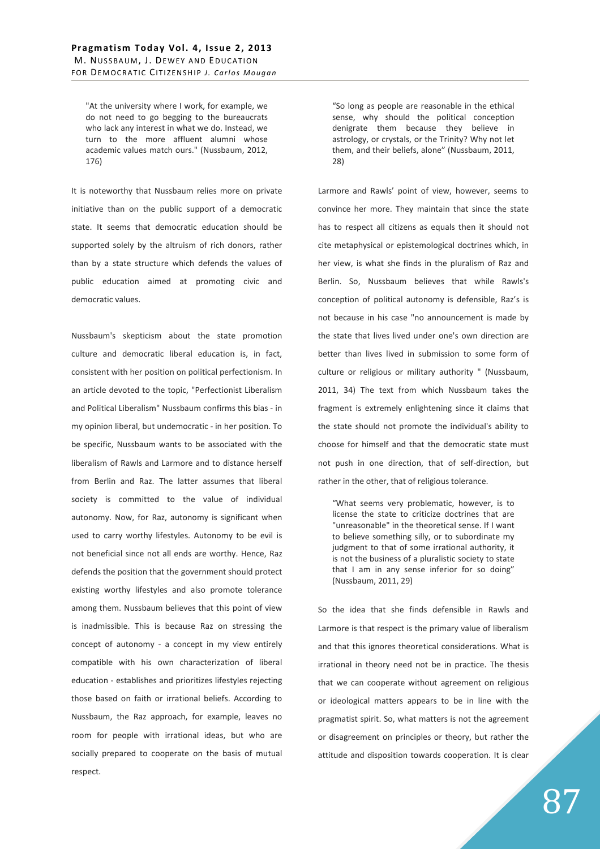"At the university where I work, for example, we do not need to go begging to the bureaucrats who lack any interest in what we do. Instead, we turn to the more affluent alumni whose academic values match ours." (Nussbaum, 2012, 176)

It is noteworthy that Nussbaum relies more on private initiative than on the public support of a democratic state. It seems that democratic education should be supported solely by the altruism of rich donors, rather than by a state structure which defends the values of public education aimed at promoting civic and democratic values.

Nussbaum's skepticism about the state promotion culture and democratic liberal education is, in fact, consistent with her position on political perfectionism. In an article devoted to the topic, "Perfectionist Liberalism and Political Liberalism" Nussbaum confirms this bias - in my opinion liberal, but undemocratic - in her position. To be specific, Nussbaum wants to be associated with the liberalism of Rawls and Larmore and to distance herself from Berlin and Raz. The latter assumes that liberal society is committed to the value of individual autonomy. Now, for Raz, autonomy is significant when used to carry worthy lifestyles. Autonomy to be evil is not beneficial since not all ends are worthy. Hence, Raz defends the position that the government should protect existing worthy lifestyles and also promote tolerance among them. Nussbaum believes that this point of view is inadmissible. This is because Raz on stressing the concept of autonomy - a concept in my view entirely compatible with his own characterization of liberal education - establishes and prioritizes lifestyles rejecting those based on faith or irrational beliefs. According to Nussbaum, the Raz approach, for example, leaves no room for people with irrational ideas, but who are socially prepared to cooperate on the basis of mutual respect.

"So long as people are reasonable in the ethical sense, why should the political conception denigrate them because they believe in astrology, or crystals, or the Trinity? Why not let them, and their beliefs, alone" (Nussbaum, 2011, 28)

Larmore and Rawls' point of view, however, seems to convince her more. They maintain that since the state has to respect all citizens as equals then it should not cite metaphysical or epistemological doctrines which, in her view, is what she finds in the pluralism of Raz and Berlin. So, Nussbaum believes that while Rawls's conception of political autonomy is defensible, Raz's is not because in his case "no announcement is made by the state that lives lived under one's own direction are better than lives lived in submission to some form of culture or religious or military authority " (Nussbaum, 2011, 34) The text from which Nussbaum takes the fragment is extremely enlightening since it claims that the state should not promote the individual's ability to choose for himself and that the democratic state must not push in one direction, that of self-direction, but rather in the other, that of religious tolerance.

"What seems very problematic, however, is to license the state to criticize doctrines that are "unreasonable" in the theoretical sense. If I want to believe something silly, or to subordinate my judgment to that of some irrational authority, it is not the business of a pluralistic society to state that I am in any sense inferior for so doing" (Nussbaum, 2011, 29)

So the idea that she finds defensible in Rawls and Larmore is that respect is the primary value of liberalism and that this ignores theoretical considerations. What is irrational in theory need not be in practice. The thesis that we can cooperate without agreement on religious or ideological matters appears to be in line with the pragmatist spirit. So, what matters is not the agreement or disagreement on principles or theory, but rather the attitude and disposition towards cooperation. It is clear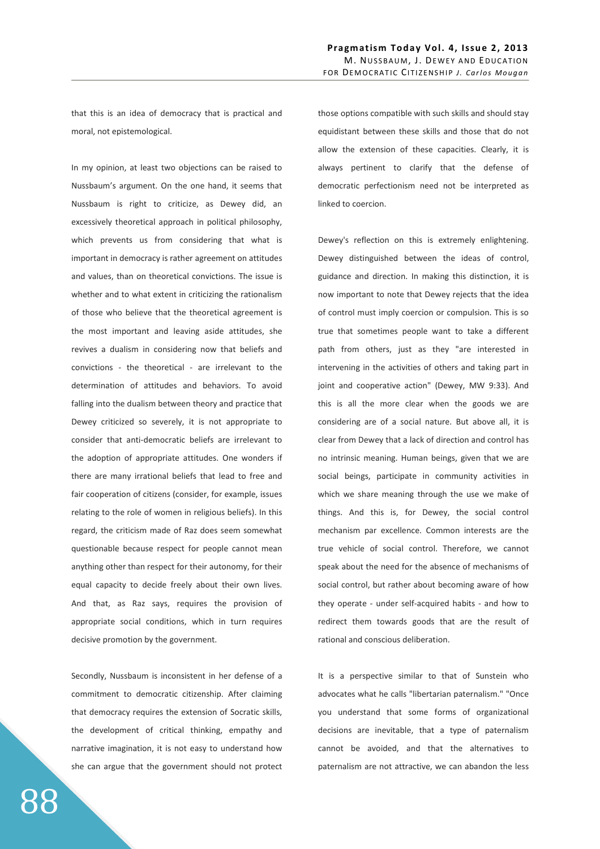that this is an idea of democracy that is practical and moral, not epistemological.

In my opinion, at least two objections can be raised to Nussbaum's argument. On the one hand, it seems that Nussbaum is right to criticize, as Dewey did, an excessively theoretical approach in political philosophy, which prevents us from considering that what is important in democracy is rather agreement on attitudes and values, than on theoretical convictions. The issue is whether and to what extent in criticizing the rationalism of those who believe that the theoretical agreement is the most important and leaving aside attitudes, she revives a dualism in considering now that beliefs and convictions - the theoretical - are irrelevant to the determination of attitudes and behaviors. To avoid falling into the dualism between theory and practice that Dewey criticized so severely, it is not appropriate to consider that anti-democratic beliefs are irrelevant to the adoption of appropriate attitudes. One wonders if there are many irrational beliefs that lead to free and fair cooperation of citizens (consider, for example, issues relating to the role of women in religious beliefs). In this regard, the criticism made of Raz does seem somewhat questionable because respect for people cannot mean anything other than respect for their autonomy, for their equal capacity to decide freely about their own lives. And that, as Raz says, requires the provision of appropriate social conditions, which in turn requires decisive promotion by the government.

Secondly, Nussbaum is inconsistent in her defense of a commitment to democratic citizenship. After claiming that democracy requires the extension of Socratic skills, the development of critical thinking, empathy and narrative imagination, it is not easy to understand how she can argue that the government should not protect those options compatible with such skills and should stay equidistant between these skills and those that do not allow the extension of these capacities. Clearly, it is always pertinent to clarify that the defense of democratic perfectionism need not be interpreted as linked to coercion.

Dewey's reflection on this is extremely enlightening. Dewey distinguished between the ideas of control, guidance and direction. In making this distinction, it is now important to note that Dewey rejects that the idea of control must imply coercion or compulsion. This is so true that sometimes people want to take a different path from others, just as they "are interested in intervening in the activities of others and taking part in joint and cooperative action" (Dewey, MW 9:33). And this is all the more clear when the goods we are considering are of a social nature. But above all, it is clear from Dewey that a lack of direction and control has no intrinsic meaning. Human beings, given that we are social beings, participate in community activities in which we share meaning through the use we make of things. And this is, for Dewey, the social control mechanism par excellence. Common interests are the true vehicle of social control. Therefore, we cannot speak about the need for the absence of mechanisms of social control, but rather about becoming aware of how they operate - under self-acquired habits - and how to redirect them towards goods that are the result of rational and conscious deliberation.

It is a perspective similar to that of Sunstein who advocates what he calls "libertarian paternalism." "Once you understand that some forms of organizational decisions are inevitable, that a type of paternalism cannot be avoided, and that the alternatives to paternalism are not attractive, we can abandon the less

88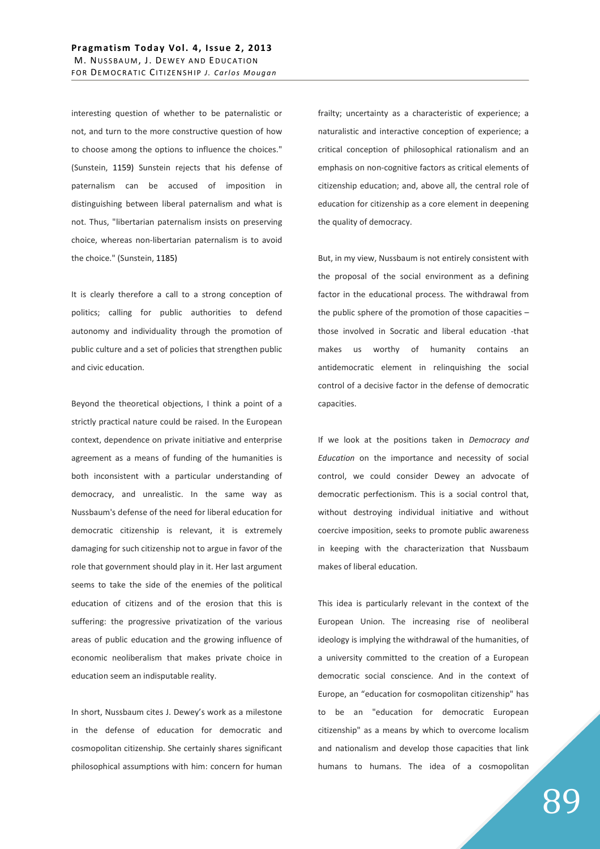interesting question of whether to be paternalistic or not, and turn to the more constructive question of how to choose among the options to influence the choices." (Sunstein, 1159) Sunstein rejects that his defense of paternalism can be accused of imposition in distinguishing between liberal paternalism and what is not. Thus, "libertarian paternalism insists on preserving choice, whereas non-libertarian paternalism is to avoid the choice." (Sunstein, 1185)

It is clearly therefore a call to a strong conception of politics; calling for public authorities to defend autonomy and individuality through the promotion of public culture and a set of policies that strengthen public and civic education.

Beyond the theoretical objections, I think a point of a strictly practical nature could be raised. In the European context, dependence on private initiative and enterprise agreement as a means of funding of the humanities is both inconsistent with a particular understanding of democracy, and unrealistic. In the same way as Nussbaum's defense of the need for liberal education for democratic citizenship is relevant, it is extremely damaging for such citizenship not to argue in favor of the role that government should play in it. Her last argument seems to take the side of the enemies of the political education of citizens and of the erosion that this is suffering: the progressive privatization of the various areas of public education and the growing influence of economic neoliberalism that makes private choice in education seem an indisputable reality.

In short, Nussbaum cites J. Dewey's work as a milestone in the defense of education for democratic and cosmopolitan citizenship. She certainly shares significant philosophical assumptions with him: concern for human frailty; uncertainty as a characteristic of experience; a naturalistic and interactive conception of experience; a critical conception of philosophical rationalism and an emphasis on non-cognitive factors as critical elements of citizenship education; and, above all, the central role of education for citizenship as a core element in deepening the quality of democracy.

But, in my view, Nussbaum is not entirely consistent with the proposal of the social environment as a defining factor in the educational process. The withdrawal from the public sphere of the promotion of those capacities – those involved in Socratic and liberal education -that makes us worthy of humanity contains an antidemocratic element in relinquishing the social control of a decisive factor in the defense of democratic capacities.

If we look at the positions taken in *Democracy and Education* on the importance and necessity of social control, we could consider Dewey an advocate of democratic perfectionism. This is a social control that, without destroying individual initiative and without coercive imposition, seeks to promote public awareness in keeping with the characterization that Nussbaum makes of liberal education.

This idea is particularly relevant in the context of the European Union. The increasing rise of neoliberal ideology is implying the withdrawal of the humanities, of a university committed to the creation of a European democratic social conscience. And in the context of Europe, an "education for cosmopolitan citizenship" has to be an "education for democratic European citizenship" as a means by which to overcome localism and nationalism and develop those capacities that link humans to humans. The idea of a cosmopolitan